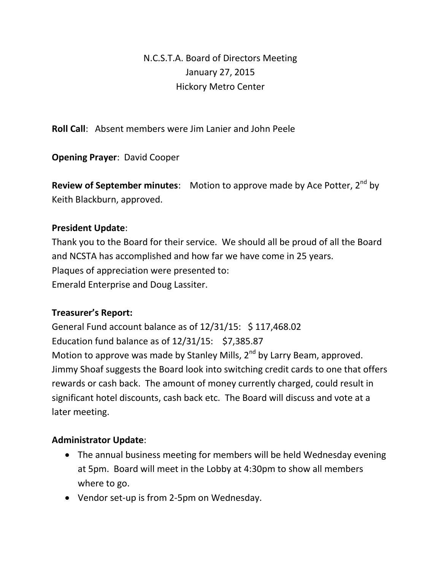## N.C.S.T.A. Board of Directors Meeting January 27, 2015 Hickory Metro Center

**Roll Call**: Absent members were Jim Lanier and John Peele

**Opening Prayer**: David Cooper

**Review of September minutes:** Motion to approve made by Ace Potter, 2<sup>nd</sup> by Keith Blackburn, approved.

## **President Update**:

Thank you to the Board for their service. We should all be proud of all the Board and NCSTA has accomplished and how far we have come in 25 years. Plaques of appreciation were presented to: Emerald Enterprise and Doug Lassiter.

## **Treasurer's Report:**

General Fund account balance as of 12/31/15: \$ 117,468.02 Education fund balance as of 12/31/15: \$7,385.87 Motion to approve was made by Stanley Mills, 2<sup>nd</sup> by Larry Beam, approved. Jimmy Shoaf suggests the Board look into switching credit cards to one that offers rewards or cash back. The amount of money currently charged, could result in significant hotel discounts, cash back etc. The Board will discuss and vote at a later meeting.

## **Administrator Update**:

- The annual business meeting for members will be held Wednesday evening at 5pm. Board will meet in the Lobby at 4:30pm to show all members where to go.
- Vendor set-up is from 2-5pm on Wednesday.